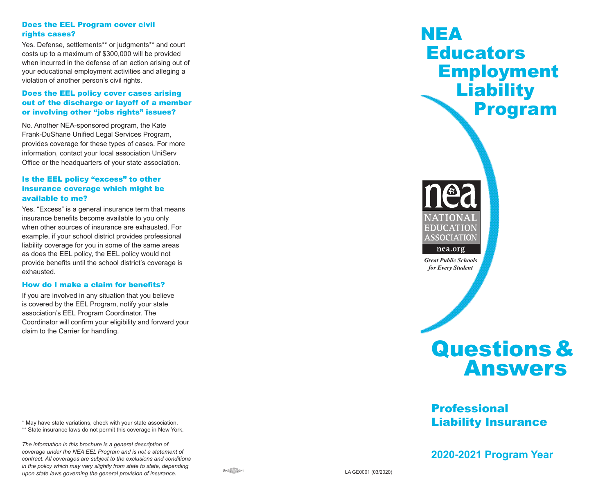#### Does the EEL Program cover civil rights cases?

Yes. Defense, settlements\*\* or judgments\*\* and court costs up to a maximum of \$300,000 will be provided when incurred in the defense of an action arising out of your educational employment activities and alleging a violation of another person's civil rights.

#### Does the EEL policy cover cases arising out of the discharge or layoff of a member or involving other "jobs rights" issues?

No. Another NEA-sponsored program, the Kate Frank-DuShane Unified Legal Services Program, provides coverage for these types of cases. For more information, contact your local association UniServ Office or the headquarters of your state association.

## Is the EEL policy "excess" to other insurance coverage which might be available to me?

Yes. "Excess" is a general insurance term that means insurance benefits become available to you only when other sources of insurance are exhausted. For example, if your school district provides professional liability coverage for you in some of the same areas as does the EEL policy, the EEL policy would not provide benefits until the school district's coverage is exhausted.

#### How do I make a claim for benefits?

If you are involved in any situation that you believe is covered by the EEL Program, notify your state association's EEL Program Coordinator. The Coordinator will confirm your eligibility and forward your claim to the Carrier for handling.

\* May have state variations, check with your state association.

\*\* State insurance laws do not permit this coverage in New York.

*The information in this brochure is a general description of coverage under the NEA EEL Program and is not a statement of contract. All coverages are subject to the exclusions and conditions in the policy which may vary slightly from state to state, depending upon state laws governing the general provision of insurance.* LA GE0001 (03/2020)

# NEA **Educators**  Employment **Liability** Program



*Great Public Schools for Every Student*



# Professional Liability Insurance

**2020-2021 Program Year**